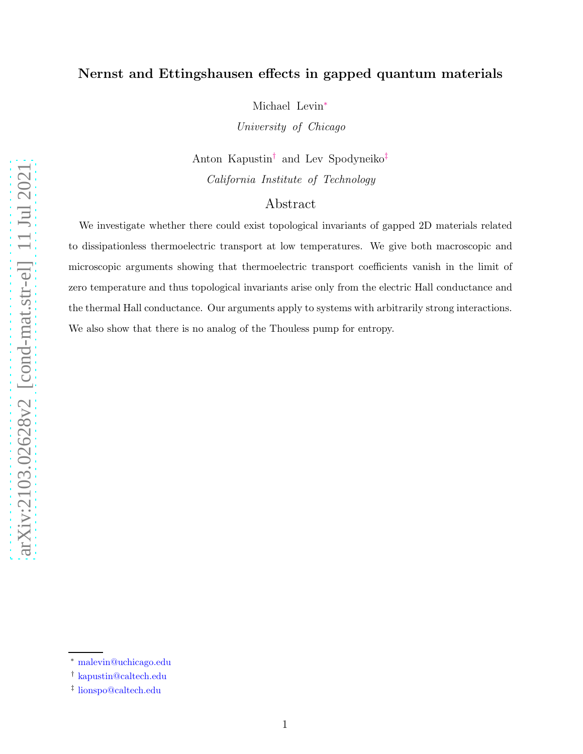## Nernst and Ettingshausen effects in gapped quantum materials

Michael Levin[∗](#page-0-0)

*University of Chicago*

Anton Kapustin[†](#page-0-1) and Lev Spodyneiko[‡](#page-0-2) *California Institute of Technology*

## Abstract

We investigate whether there could exist topological invariants of gapped 2D materials related to dissipationless thermoelectric transport at low temperatures. We give both macroscopic and microscopic arguments showing that thermoelectric transport coefficients vanish in the limit of zero temperature and thus topological invariants arise only from the electric Hall conductance and the thermal Hall conductance. Our arguments apply to systems with arbitrarily strong interactions. We also show that there is no analog of the Thouless pump for entropy.

<span id="page-0-1"></span><span id="page-0-0"></span><sup>∗</sup> [malevin@uchicago.edu](mailto:malevin@uchicago.edu)

<span id="page-0-2"></span><sup>†</sup> [kapustin@caltech.edu](mailto:kapustin@caltech.edu)

<sup>‡</sup> [lionspo@caltech.edu](mailto:lionspo@caltech.edu)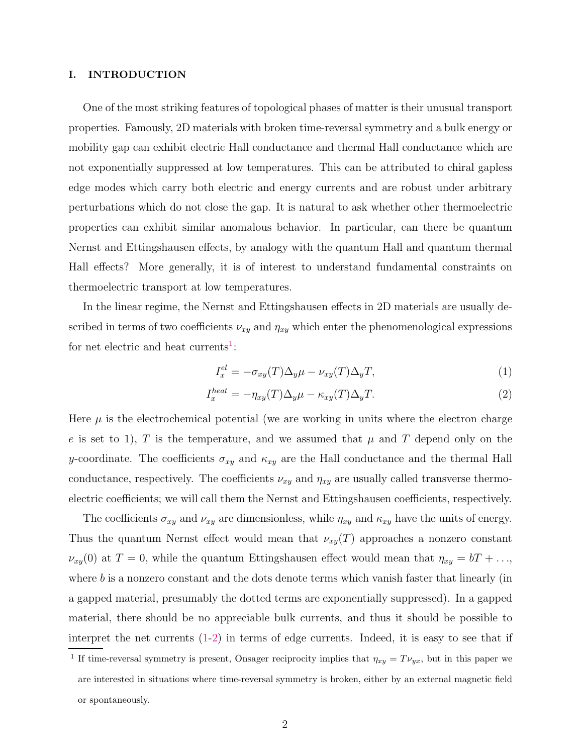#### I. INTRODUCTION

One of the most striking features of topological phases of matter is their unusual transport properties. Famously, 2D materials with broken time-reversal symmetry and a bulk energy or mobility gap can exhibit electric Hall conductance and thermal Hall conductance which are not exponentially suppressed at low temperatures. This can be attributed to chiral gapless edge modes which carry both electric and energy currents and are robust under arbitrary perturbations which do not close the gap. It is natural to ask whether other thermoelectric properties can exhibit similar anomalous behavior. In particular, can there be quantum Nernst and Ettingshausen effects, by analogy with the quantum Hall and quantum thermal Hall effects? More generally, it is of interest to understand fundamental constraints on thermoelectric transport at low temperatures.

In the linear regime, the Nernst and Ettingshausen effects in 2D materials are usually described in terms of two coefficients  $\nu_{xy}$  and  $\eta_{xy}$  which enter the phenomenological expressions for net electric and heat currents<sup>[1](#page-1-0)</sup>:

<span id="page-1-2"></span><span id="page-1-1"></span>
$$
I_x^{el} = -\sigma_{xy}(T)\Delta_y \mu - \nu_{xy}(T)\Delta_y T,\tag{1}
$$

$$
I_x^{heat} = -\eta_{xy}(T)\Delta_y \mu - \kappa_{xy}(T)\Delta_y T.
$$
\n(2)

Here  $\mu$  is the electrochemical potential (we are working in units where the electron charge e is set to 1), T is the temperature, and we assumed that  $\mu$  and T depend only on the y-coordinate. The coefficients  $\sigma_{xy}$  and  $\kappa_{xy}$  are the Hall conductance and the thermal Hall conductance, respectively. The coefficients  $\nu_{xy}$  and  $\eta_{xy}$  are usually called transverse thermoelectric coefficients; we will call them the Nernst and Ettingshausen coefficients, respectively.

The coefficients  $\sigma_{xy}$  and  $\nu_{xy}$  are dimensionless, while  $\eta_{xy}$  and  $\kappa_{xy}$  have the units of energy. Thus the quantum Nernst effect would mean that  $\nu_{xy}(T)$  approaches a nonzero constant  $\nu_{xy}(0)$  at  $T = 0$ , while the quantum Ettingshausen effect would mean that  $\eta_{xy} = bT + \dots$ where  $b$  is a nonzero constant and the dots denote terms which vanish faster that linearly (in a gapped material, presumably the dotted terms are exponentially suppressed). In a gapped material, there should be no appreciable bulk currents, and thus it should be possible to interpret the net currents [\(1-](#page-1-1)[2\)](#page-1-2) in terms of edge currents. Indeed, it is easy to see that if

<span id="page-1-0"></span><sup>&</sup>lt;sup>1</sup> If time-reversal symmetry is present, Onsager reciprocity implies that  $\eta_{xy} = T \nu_{yx}$ , but in this paper we are interested in situations where time-reversal symmetry is broken, either by an external magnetic field or spontaneously.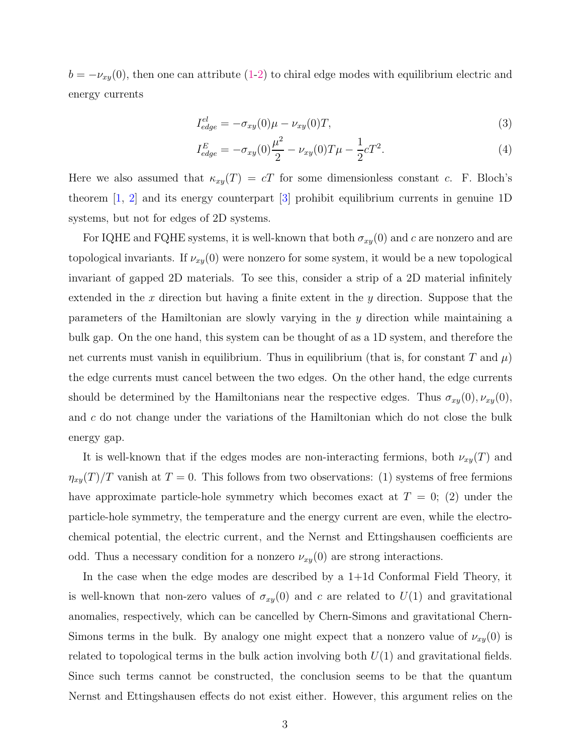$b = -\nu_{xy}(0)$ , then one can attribute [\(1-](#page-1-1)[2\)](#page-1-2) to chiral edge modes with equilibrium electric and energy currents

<span id="page-2-1"></span><span id="page-2-0"></span>
$$
I_{edge}^{el} = -\sigma_{xy}(0)\mu - \nu_{xy}(0)T,
$$
\n(3)

$$
I_{edge}^{E} = -\sigma_{xy}(0)\frac{\mu^2}{2} - \nu_{xy}(0)T\mu - \frac{1}{2}cT^2.
$$
\n(4)

Here we also assumed that  $\kappa_{xy}(T) = cT$  for some dimensionless constant c. F. Bloch's theorem  $[1, 2]$  $[1, 2]$  $[1, 2]$  and its energy counterpart  $[3]$  prohibit equilibrium currents in genuine 1D systems, but not for edges of 2D systems.

For IQHE and FQHE systems, it is well-known that both  $\sigma_{xy}(0)$  and c are nonzero and are topological invariants. If  $\nu_{xy}(0)$  were nonzero for some system, it would be a new topological invariant of gapped 2D materials. To see this, consider a strip of a 2D material infinitely extended in the  $x$  direction but having a finite extent in the  $y$  direction. Suppose that the parameters of the Hamiltonian are slowly varying in the y direction while maintaining a bulk gap. On the one hand, this system can be thought of as a 1D system, and therefore the net currents must vanish in equilibrium. Thus in equilibrium (that is, for constant T and  $\mu$ ) the edge currents must cancel between the two edges. On the other hand, the edge currents should be determined by the Hamiltonians near the respective edges. Thus  $\sigma_{xy}(0), \nu_{xy}(0),$ and c do not change under the variations of the Hamiltonian which do not close the bulk energy gap.

It is well-known that if the edges modes are non-interacting fermions, both  $\nu_{xy}(T)$  and  $\eta_{xy}(T)/T$  vanish at  $T = 0$ . This follows from two observations: (1) systems of free fermions have approximate particle-hole symmetry which becomes exact at  $T = 0$ ; (2) under the particle-hole symmetry, the temperature and the energy current are even, while the electrochemical potential, the electric current, and the Nernst and Ettingshausen coefficients are odd. Thus a necessary condition for a nonzero  $\nu_{xy}(0)$  are strong interactions.

In the case when the edge modes are described by a 1+1d Conformal Field Theory, it is well-known that non-zero values of  $\sigma_{xy}(0)$  and c are related to  $U(1)$  and gravitational anomalies, respectively, which can be cancelled by Chern-Simons and gravitational Chern-Simons terms in the bulk. By analogy one might expect that a nonzero value of  $\nu_{xy}(0)$  is related to topological terms in the bulk action involving both  $U(1)$  and gravitational fields. Since such terms cannot be constructed, the conclusion seems to be that the quantum Nernst and Ettingshausen effects do not exist either. However, this argument relies on the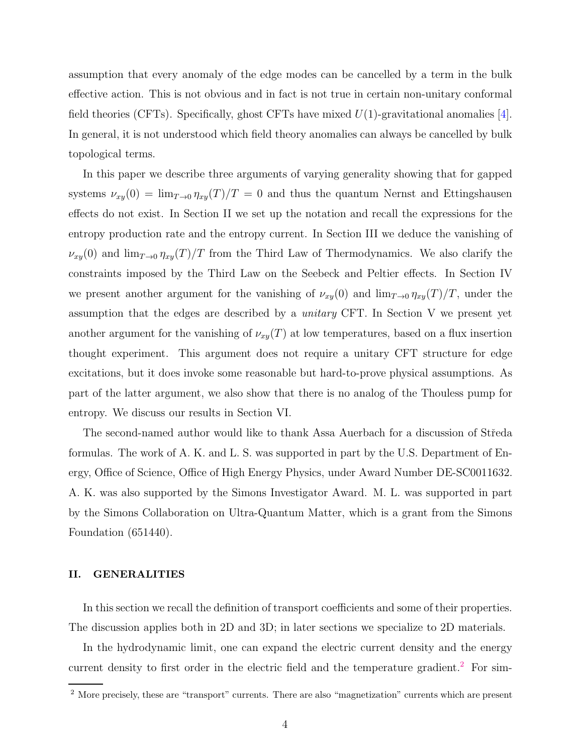assumption that every anomaly of the edge modes can be cancelled by a term in the bulk effective action. This is not obvious and in fact is not true in certain non-unitary conformal field theories (CFTs). Specifically, ghost CFTs have mixed  $U(1)$ -gravitational anomalies [\[4\]](#page-25-3). In general, it is not understood which field theory anomalies can always be cancelled by bulk topological terms.

In this paper we describe three arguments of varying generality showing that for gapped systems  $\nu_{xy}(0) = \lim_{T\to 0} \eta_{xy}(T)/T = 0$  and thus the quantum Nernst and Ettingshausen effects do not exist. In Section II we set up the notation and recall the expressions for the entropy production rate and the entropy current. In Section III we deduce the vanishing of  $\nu_{xy}(0)$  and  $\lim_{T\to 0} \eta_{xy}(T)/T$  from the Third Law of Thermodynamics. We also clarify the constraints imposed by the Third Law on the Seebeck and Peltier effects. In Section IV we present another argument for the vanishing of  $\nu_{xy}(0)$  and  $\lim_{T\to 0} \eta_{xy}(T)/T$ , under the assumption that the edges are described by a *unitary* CFT. In Section V we present yet another argument for the vanishing of  $\nu_{xy}(T)$  at low temperatures, based on a flux insertion thought experiment. This argument does not require a unitary CFT structure for edge excitations, but it does invoke some reasonable but hard-to-prove physical assumptions. As part of the latter argument, we also show that there is no analog of the Thouless pump for entropy. We discuss our results in Section VI.

The second-named author would like to thank Assa Auerbach for a discussion of Středa formulas. The work of A. K. and L. S. was supported in part by the U.S. Department of Energy, Office of Science, Office of High Energy Physics, under Award Number DE-SC0011632. A. K. was also supported by the Simons Investigator Award. M. L. was supported in part by the Simons Collaboration on Ultra-Quantum Matter, which is a grant from the Simons Foundation (651440).

### II. GENERALITIES

In this section we recall the definition of transport coefficients and some of their properties. The discussion applies both in 2D and 3D; in later sections we specialize to 2D materials.

In the hydrodynamic limit, one can expand the electric current density and the energy current density to first order in the electric field and the temperature gradient.<sup>[2](#page-3-0)</sup> For sim-

<span id="page-3-0"></span><sup>&</sup>lt;sup>2</sup> More precisely, these are "transport" currents. There are also "magnetization" currents which are present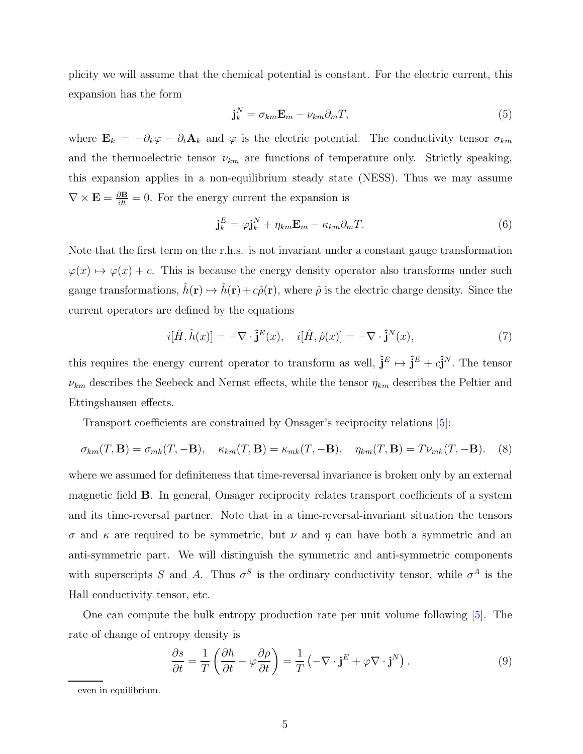plicity we will assume that the chemical potential is constant. For the electric current, this expansion has the form

$$
\mathbf{j}_k^N = \sigma_{km} \mathbf{E}_m - \nu_{km} \partial_m T,\tag{5}
$$

where  $\mathbf{E}_k = -\partial_k \varphi - \partial_t \mathbf{A}_k$  and  $\varphi$  is the electric potential. The conductivity tensor  $\sigma_{km}$ and the thermoelectric tensor  $\nu_{km}$  are functions of temperature only. Strictly speaking, this expansion applies in a non-equilibrium steady state (NESS). Thus we may assume  $\nabla \times \mathbf{E} = \frac{\partial \mathbf{B}}{\partial t} = 0$ . For the energy current the expansion is

$$
\mathbf{j}_k^E = \varphi \mathbf{j}_k^N + \eta_{km} \mathbf{E}_m - \kappa_{km} \partial_m T. \tag{6}
$$

Note that the first term on the r.h.s. is not invariant under a constant gauge transformation  $\varphi(x) \mapsto \varphi(x) + c$ . This is because the energy density operator also transforms under such gauge transformations,  $\hat{h}(\mathbf{r}) \mapsto \hat{h}(\mathbf{r}) + c\hat{\rho}(\mathbf{r})$ , where  $\hat{\rho}$  is the electric charge density. Since the current operators are defined by the equations

$$
i[\hat{H}, \hat{h}(x)] = -\nabla \cdot \hat{\mathbf{j}}^E(x), \quad i[\hat{H}, \hat{\rho}(x)] = -\nabla \cdot \hat{\mathbf{j}}^N(x), \tag{7}
$$

this requires the energy current operator to transform as well,  $\hat{\mathbf{j}}^E \mapsto \hat{\mathbf{j}}^E + c\hat{\mathbf{j}}^N$ . The tensor  $\nu_{km}$  describes the Seebeck and Nernst effects, while the tensor  $\eta_{km}$  describes the Peltier and Ettingshausen effects.

Transport coefficients are constrained by Onsager's reciprocity relations [\[5\]](#page-25-4):

<span id="page-4-0"></span>
$$
\sigma_{km}(T, \mathbf{B}) = \sigma_{mk}(T, -\mathbf{B}), \quad \kappa_{km}(T, \mathbf{B}) = \kappa_{mk}(T, -\mathbf{B}), \quad \eta_{km}(T, \mathbf{B}) = T\nu_{mk}(T, -\mathbf{B}). \tag{8}
$$

where we assumed for definiteness that time-reversal invariance is broken only by an external magnetic field B. In general, Onsager reciprocity relates transport coefficients of a system and its time-reversal partner. Note that in a time-reversal-invariant situation the tensors σ and κ are required to be symmetric, but ν and η can have both a symmetric and an anti-symmetric part. We will distinguish the symmetric and anti-symmetric components with superscripts S and A. Thus  $\sigma^S$  is the ordinary conductivity tensor, while  $\sigma^A$  is the Hall conductivity tensor, etc.

One can compute the bulk entropy production rate per unit volume following [\[5\]](#page-25-4). The rate of change of entropy density is

$$
\frac{\partial s}{\partial t} = \frac{1}{T} \left( \frac{\partial h}{\partial t} - \varphi \frac{\partial \rho}{\partial t} \right) = \frac{1}{T} \left( -\nabla \cdot \mathbf{j}^E + \varphi \nabla \cdot \mathbf{j}^N \right). \tag{9}
$$

even in equilibrium.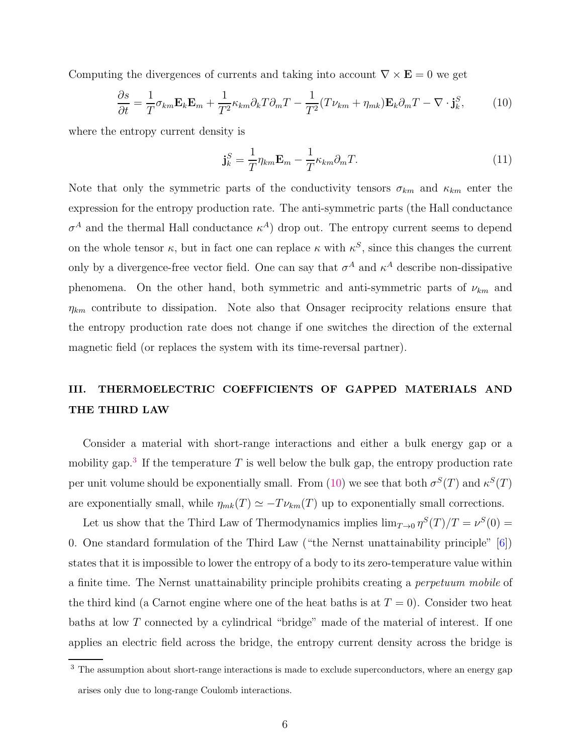Computing the divergences of currents and taking into account  $\nabla \times \mathbf{E} = 0$  we get

<span id="page-5-1"></span>
$$
\frac{\partial s}{\partial t} = \frac{1}{T} \sigma_{km} \mathbf{E}_k \mathbf{E}_m + \frac{1}{T^2} \kappa_{km} \partial_k T \partial_m T - \frac{1}{T^2} (T \nu_{km} + \eta_{mk}) \mathbf{E}_k \partial_m T - \nabla \cdot \mathbf{j}_k^S, \tag{10}
$$

where the entropy current density is

<span id="page-5-2"></span>
$$
\mathbf{j}_k^S = \frac{1}{T} \eta_{km} \mathbf{E}_m - \frac{1}{T} \kappa_{km} \partial_m T. \tag{11}
$$

Note that only the symmetric parts of the conductivity tensors  $\sigma_{km}$  and  $\kappa_{km}$  enter the expression for the entropy production rate. The anti-symmetric parts (the Hall conductance  $\sigma^A$  and the thermal Hall conductance  $\kappa^A$ ) drop out. The entropy current seems to depend on the whole tensor  $\kappa$ , but in fact one can replace  $\kappa$  with  $\kappa^S$ , since this changes the current only by a divergence-free vector field. One can say that  $\sigma^A$  and  $\kappa^A$  describe non-dissipative phenomena. On the other hand, both symmetric and anti-symmetric parts of  $\nu_{km}$  and  $\eta_{km}$  contribute to dissipation. Note also that Onsager reciprocity relations ensure that the entropy production rate does not change if one switches the direction of the external magnetic field (or replaces the system with its time-reversal partner).

# <span id="page-5-3"></span>III. THERMOELECTRIC COEFFICIENTS OF GAPPED MATERIALS AND THE THIRD LAW

Consider a material with short-range interactions and either a bulk energy gap or a mobility gap.<sup>[3](#page-5-0)</sup> If the temperature T is well below the bulk gap, the entropy production rate per unit volume should be exponentially small. From [\(10\)](#page-5-1) we see that both  $\sigma^{S}(T)$  and  $\kappa^{S}(T)$ are exponentially small, while  $\eta_{mk}(T) \simeq -T \nu_{km}(T)$  up to exponentially small corrections.

Let us show that the Third Law of Thermodynamics implies  $\lim_{T\to 0} \eta^S(T)/T = \nu^S(0)$ 0. One standard formulation of the Third Law ("the Nernst unattainability principle" [\[6\]](#page-25-5)) states that it is impossible to lower the entropy of a body to its zero-temperature value within a finite time. The Nernst unattainability principle prohibits creating a *perpetuum mobile* of the third kind (a Carnot engine where one of the heat baths is at  $T = 0$ ). Consider two heat baths at low T connected by a cylindrical "bridge" made of the material of interest. If one applies an electric field across the bridge, the entropy current density across the bridge is

<span id="page-5-0"></span><sup>&</sup>lt;sup>3</sup> The assumption about short-range interactions is made to exclude superconductors, where an energy gap arises only due to long-range Coulomb interactions.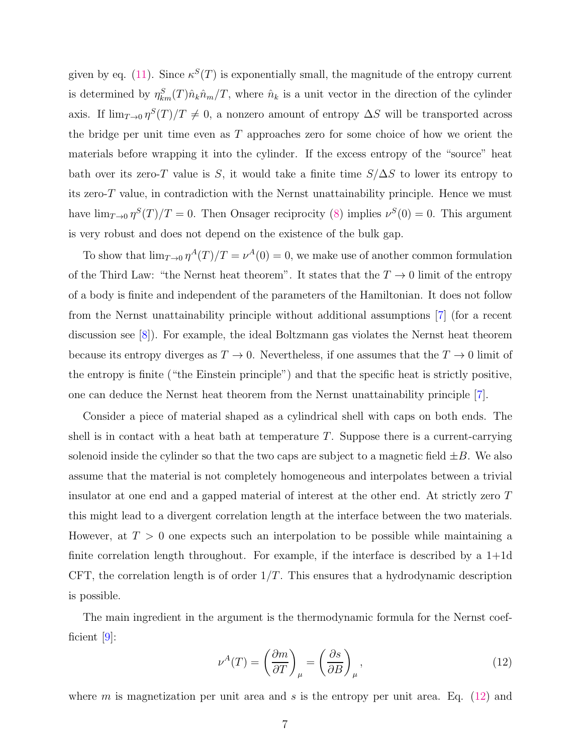given by eq. [\(11\)](#page-5-2). Since  $\kappa^{S}(T)$  is exponentially small, the magnitude of the entropy current is determined by  $\eta_{km}^S(T)\hat{n}_k\hat{n}_m/T$ , where  $\hat{n}_k$  is a unit vector in the direction of the cylinder axis. If  $\lim_{T\to 0} \eta^S(T)/T \neq 0$ , a nonzero amount of entropy  $\Delta S$  will be transported across the bridge per unit time even as  $T$  approaches zero for some choice of how we orient the materials before wrapping it into the cylinder. If the excess entropy of the "source" heat bath over its zero-T value is S, it would take a finite time  $S/\Delta S$  to lower its entropy to its zero-T value, in contradiction with the Nernst unattainability principle. Hence we must have  $\lim_{T\to 0} \eta^{S}(T)/T = 0$ . Then Onsager reciprocity [\(8\)](#page-4-0) implies  $\nu^{S}(0) = 0$ . This argument is very robust and does not depend on the existence of the bulk gap.

To show that  $\lim_{T\to 0} \eta^A(T)/T = \nu^A(0) = 0$ , we make use of another common formulation of the Third Law: "the Nernst heat theorem". It states that the  $T \to 0$  limit of the entropy of a body is finite and independent of the parameters of the Hamiltonian. It does not follow from the Nernst unattainability principle without additional assumptions [\[7\]](#page-25-6) (for a recent discussion see [\[8\]](#page-25-7)). For example, the ideal Boltzmann gas violates the Nernst heat theorem because its entropy diverges as  $T \to 0$ . Nevertheless, if one assumes that the  $T \to 0$  limit of the entropy is finite ("the Einstein principle") and that the specific heat is strictly positive, one can deduce the Nernst heat theorem from the Nernst unattainability principle [\[7\]](#page-25-6).

Consider a piece of material shaped as a cylindrical shell with caps on both ends. The shell is in contact with a heat bath at temperature  $T$ . Suppose there is a current-carrying solenoid inside the cylinder so that the two caps are subject to a magnetic field  $\pm B$ . We also assume that the material is not completely homogeneous and interpolates between a trivial insulator at one end and a gapped material of interest at the other end. At strictly zero T this might lead to a divergent correlation length at the interface between the two materials. However, at  $T > 0$  one expects such an interpolation to be possible while maintaining a finite correlation length throughout. For example, if the interface is described by a  $1+1d$ CFT, the correlation length is of order  $1/T$ . This ensures that a hydrodynamic description is possible.

The main ingredient in the argument is the thermodynamic formula for the Nernst coefficient [\[9\]](#page-25-8):

<span id="page-6-0"></span>
$$
\nu^{A}(T) = \left(\frac{\partial m}{\partial T}\right)_{\mu} = \left(\frac{\partial s}{\partial B}\right)_{\mu},\tag{12}
$$

where m is magnetization per unit area and s is the entropy per unit area. Eq.  $(12)$  and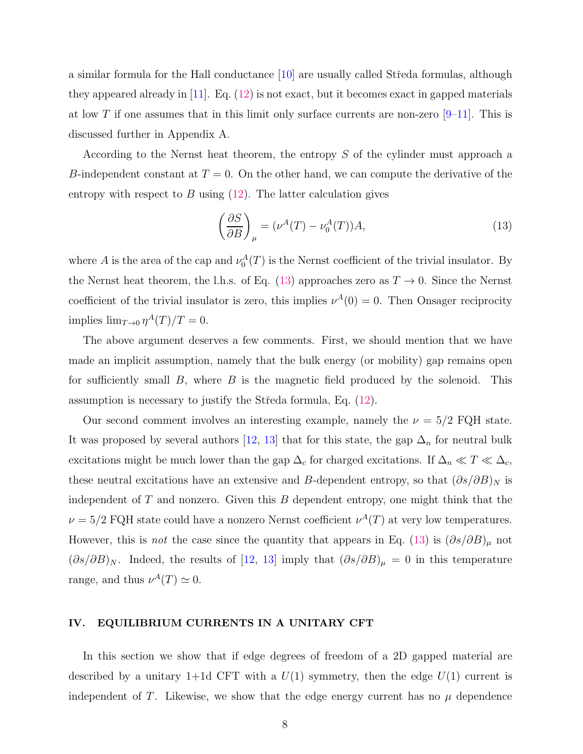a similar formula for the Hall conductance  $[10]$  are usually called Streda formulas, although they appeared already in  $[11]$ . Eq.  $(12)$  is not exact, but it becomes exact in gapped materials at low T if one assumes that in this limit only surface currents are non-zero  $[9-11]$ . This is discussed further in Appendix A.

According to the Nernst heat theorem, the entropy S of the cylinder must approach a B-independent constant at  $T = 0$ . On the other hand, we can compute the derivative of the entropy with respect to  $B$  using  $(12)$ . The latter calculation gives

<span id="page-7-0"></span>
$$
\left(\frac{\partial S}{\partial B}\right)_{\mu} = (\nu^A(T) - \nu_0^A(T))A,\tag{13}
$$

where A is the area of the cap and  $\nu_0^A(T)$  is the Nernst coefficient of the trivial insulator. By the Nernst heat theorem, the l.h.s. of Eq. [\(13\)](#page-7-0) approaches zero as  $T \to 0$ . Since the Nernst coefficient of the trivial insulator is zero, this implies  $\nu^A(0) = 0$ . Then Onsager reciprocity implies  $\lim_{T\to 0} \eta^A(T)/T = 0.$ 

The above argument deserves a few comments. First, we should mention that we have made an implicit assumption, namely that the bulk energy (or mobility) gap remains open for sufficiently small  $B$ , where  $B$  is the magnetic field produced by the solenoid. This assumption is necessary to justify the Středa formula, Eq.  $(12)$ .

Our second comment involves an interesting example, namely the  $\nu = 5/2$  FQH state. It was proposed by several authors [\[12](#page-26-2), [13](#page-26-3)] that for this state, the gap  $\Delta_n$  for neutral bulk excitations might be much lower than the gap  $\Delta_c$  for charged excitations. If  $\Delta_n \ll T \ll \Delta_c$ , these neutral excitations have an extensive and B-dependent entropy, so that  $(\partial s/\partial B)_N$  is independent of  $T$  and nonzero. Given this  $B$  dependent entropy, one might think that the  $\nu = 5/2$  FQH state could have a nonzero Nernst coefficient  $\nu^{A}(T)$  at very low temperatures. However, this is *not* the case since the quantity that appears in Eq. [\(13\)](#page-7-0) is  $(\partial s/\partial B)_{\mu}$  not  $(\partial s/\partial B)_N$ . Indeed, the results of [\[12,](#page-26-2) [13\]](#page-26-3) imply that  $(\partial s/\partial B)_\mu = 0$  in this temperature range, and thus  $\nu^{A}(T) \simeq 0$ .

## IV. EQUILIBRIUM CURRENTS IN A UNITARY CFT

In this section we show that if edge degrees of freedom of a 2D gapped material are described by a unitary 1+1d CFT with a  $U(1)$  symmetry, then the edge  $U(1)$  current is independent of T. Likewise, we show that the edge energy current has no  $\mu$  dependence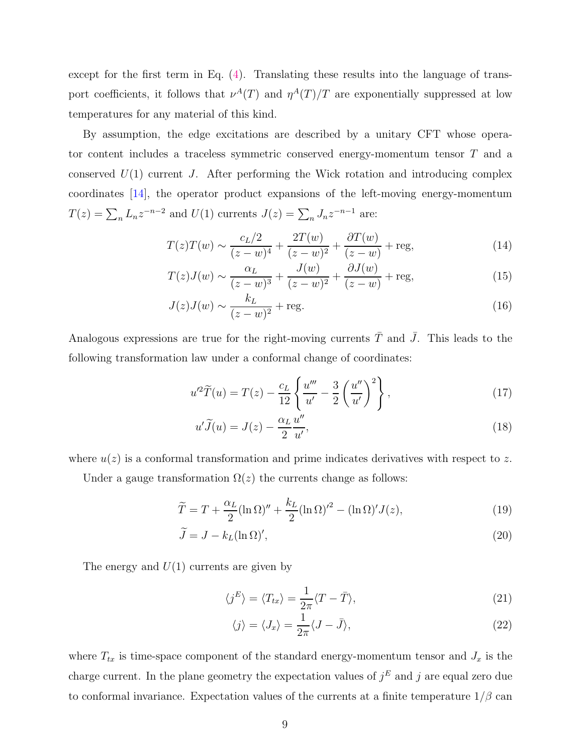except for the first term in Eq. [\(4\)](#page-2-0). Translating these results into the language of transport coefficients, it follows that  $\nu^{A}(T)$  and  $\eta^{A}(T)/T$  are exponentially suppressed at low temperatures for any material of this kind.

By assumption, the edge excitations are described by a unitary CFT whose operator content includes a traceless symmetric conserved energy-momentum tensor T and a conserved  $U(1)$  current J. After performing the Wick rotation and introducing complex coordinates [\[14](#page-26-4)], the operator product expansions of the left-moving energy-momentum  $T(z) = \sum_n L_n z^{-n-2}$  and  $U(1)$  currents  $J(z) = \sum_n J_n z^{-n-1}$  are:

$$
T(z)T(w) \sim \frac{c_L/2}{(z-w)^4} + \frac{2T(w)}{(z-w)^2} + \frac{\partial T(w)}{(z-w)} + \text{reg},\tag{14}
$$

$$
T(z)J(w) \sim \frac{\alpha_L}{(z-w)^3} + \frac{J(w)}{(z-w)^2} + \frac{\partial J(w)}{(z-w)} + \text{reg},\tag{15}
$$

$$
J(z)J(w) \sim \frac{k_L}{(z-w)^2} + \text{reg.}
$$
\n(16)

Analogous expressions are true for the right-moving currents  $\overline{T}$  and  $\overline{J}$ . This leads to the following transformation law under a conformal change of coordinates:

<span id="page-8-1"></span>
$$
u'^{2}\widetilde{T}(u) = T(z) - \frac{c_{L}}{12} \left\{ \frac{u'''}{u'} - \frac{3}{2} \left( \frac{u''}{u'} \right)^{2} \right\},
$$
\n(17)

$$
u'\tilde{J}(u) = J(z) - \frac{\alpha_L}{2} \frac{u''}{u'},\tag{18}
$$

where  $u(z)$  is a conformal transformation and prime indicates derivatives with respect to z.

Under a gauge transformation  $\Omega(z)$  the currents change as follows:

$$
\widetilde{T} = T + \frac{\alpha_L}{2} (\ln \Omega)'' + \frac{k_L}{2} (\ln \Omega)'^2 - (\ln \Omega)' J(z), \tag{19}
$$

$$
\widetilde{J} = J - k_L (\ln \Omega)',\tag{20}
$$

The energy and  $U(1)$  currents are given by

<span id="page-8-0"></span>
$$
\langle j^E \rangle = \langle T_{tx} \rangle = \frac{1}{2\pi} \langle T - \bar{T} \rangle, \tag{21}
$$

$$
\langle j \rangle = \langle J_x \rangle = \frac{1}{2\pi} \langle J - \bar{J} \rangle,\tag{22}
$$

where  $T_{tx}$  is time-space component of the standard energy-momentum tensor and  $J_x$  is the charge current. In the plane geometry the expectation values of  $j<sup>E</sup>$  and j are equal zero due to conformal invariance. Expectation values of the currents at a finite temperature  $1/\beta$  can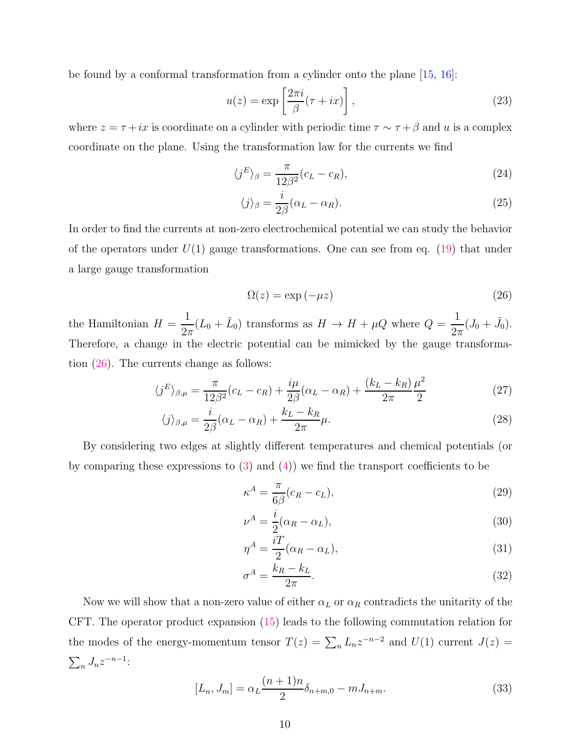be found by a conformal transformation from a cylinder onto the plane [\[15,](#page-26-5) [16](#page-26-6)]:

$$
u(z) = \exp\left[\frac{2\pi i}{\beta}(\tau + ix)\right],\tag{23}
$$

where  $z = \tau + ix$  is coordinate on a cylinder with periodic time  $\tau \sim \tau + \beta$  and u is a complex coordinate on the plane. Using the transformation law for the currents we find

$$
\langle j^E \rangle_{\beta} = \frac{\pi}{12\beta^2} (c_L - c_R), \tag{24}
$$

$$
\langle j \rangle_{\beta} = \frac{i}{2\beta} (\alpha_L - \alpha_R). \tag{25}
$$

In order to find the currents at non-zero electrochemical potential we can study the behavior of the operators under  $U(1)$  gauge transformations. One can see from eq. [\(19\)](#page-8-0) that under a large gauge transformation

<span id="page-9-0"></span>
$$
\Omega(z) = \exp(-\mu z) \tag{26}
$$

the Hamiltonian  $H =$ 1  $\frac{1}{2\pi}(L_0 + \bar{L}_0)$  transforms as  $H \to H + \mu Q$  where  $Q =$ 1  $\frac{1}{2\pi}(J_0+\bar{J}_0).$ Therefore, a change in the electric potential can be mimicked by the gauge transformation [\(26\)](#page-9-0). The currents change as follows:

$$
\langle j^E \rangle_{\beta,\mu} = \frac{\pi}{12\beta^2} (c_L - c_R) + \frac{i\mu}{2\beta} (\alpha_L - \alpha_R) + \frac{(k_L - k_R)}{2\pi} \frac{\mu^2}{2}
$$
(27)

$$
\langle j \rangle_{\beta,\mu} = \frac{i}{2\beta} (\alpha_L - \alpha_R) + \frac{k_L - k_R}{2\pi} \mu.
$$
 (28)

By considering two edges at slightly different temperatures and chemical potentials (or by comparing these expressions to  $(3)$  and  $(4)$ ) we find the transport coefficients to be

$$
\kappa^A = \frac{\pi}{6\beta}(c_R - c_L),\tag{29}
$$

$$
\nu^A = \frac{i}{2}(\alpha_R - \alpha_L),\tag{30}
$$

$$
\eta^A = \frac{i}{2}(\alpha_R - \alpha_L),\tag{31}
$$

$$
\sigma^A = \frac{k_R - k_L}{2\pi}.\tag{32}
$$

Now we will show that a non-zero value of either  $\alpha_L$  or  $\alpha_R$  contradicts the unitarity of the CFT. The operator product expansion [\(15\)](#page-8-1) leads to the following commutation relation for the modes of the energy-momentum tensor  $T(z) = \sum_n L_n z^{-n-2}$  and  $U(1)$  current  $J(z) =$  $\sum_n J_n z^{-n-1}$ :

$$
[L_n, J_m] = \alpha_L \frac{(n+1)n}{2} \delta_{n+m,0} - m J_{n+m}.
$$
 (33)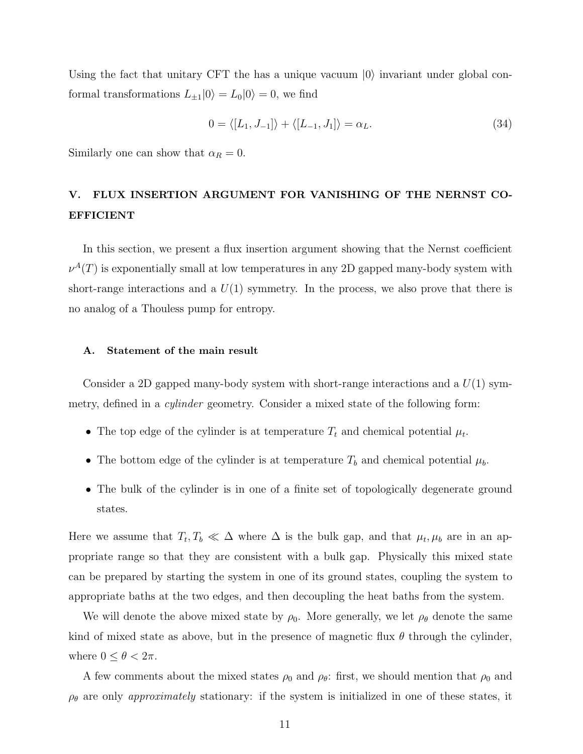Using the fact that unitary CFT the has a unique vacuum  $|0\rangle$  invariant under global conformal transformations  $L_{\pm 1}|0\rangle = L_0|0\rangle = 0$ , we find

$$
0 = \langle [L_1, J_{-1}] \rangle + \langle [L_{-1}, J_1] \rangle = \alpha_L. \tag{34}
$$

Similarly one can show that  $\alpha_R = 0$ .

# V. FLUX INSERTION ARGUMENT FOR VANISHING OF THE NERNST CO-EFFICIENT

In this section, we present a flux insertion argument showing that the Nernst coefficient  $\nu^A(T)$  is exponentially small at low temperatures in any 2D gapped many-body system with short-range interactions and a  $U(1)$  symmetry. In the process, we also prove that there is no analog of a Thouless pump for entropy.

### A. Statement of the main result

Consider a 2D gapped many-body system with short-range interactions and a  $U(1)$  symmetry, defined in a *cylinder* geometry. Consider a mixed state of the following form:

- The top edge of the cylinder is at temperature  $T_t$  and chemical potential  $\mu_t$ .
- The bottom edge of the cylinder is at temperature  $T_b$  and chemical potential  $\mu_b$ .
- The bulk of the cylinder is in one of a finite set of topologically degenerate ground states.

Here we assume that  $T_t, T_b \ll \Delta$  where  $\Delta$  is the bulk gap, and that  $\mu_t, \mu_b$  are in an appropriate range so that they are consistent with a bulk gap. Physically this mixed state can be prepared by starting the system in one of its ground states, coupling the system to appropriate baths at the two edges, and then decoupling the heat baths from the system.

We will denote the above mixed state by  $\rho_0$ . More generally, we let  $\rho_\theta$  denote the same kind of mixed state as above, but in the presence of magnetic flux  $\theta$  through the cylinder, where  $0 \leq \theta < 2\pi$ .

A few comments about the mixed states  $\rho_0$  and  $\rho_\theta$ : first, we should mention that  $\rho_0$  and  $\rho_{\theta}$  are only *approximately* stationary: if the system is initialized in one of these states, it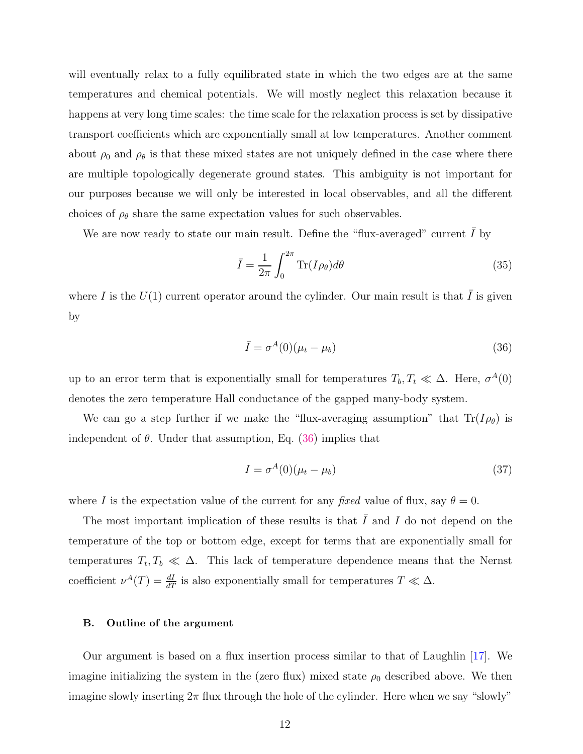will eventually relax to a fully equilibrated state in which the two edges are at the same temperatures and chemical potentials. We will mostly neglect this relaxation because it happens at very long time scales: the time scale for the relaxation process is set by dissipative transport coefficients which are exponentially small at low temperatures. Another comment about  $\rho_0$  and  $\rho_\theta$  is that these mixed states are not uniquely defined in the case where there are multiple topologically degenerate ground states. This ambiguity is not important for our purposes because we will only be interested in local observables, and all the different choices of  $\rho_{\theta}$  share the same expectation values for such observables.

We are now ready to state our main result. Define the "flux-averaged" current  $\overline{I}$  by

$$
\bar{I} = \frac{1}{2\pi} \int_0^{2\pi} \text{Tr}(I\rho_\theta) d\theta \tag{35}
$$

where I is the  $U(1)$  current operator around the cylinder. Our main result is that  $\overline{I}$  is given by

<span id="page-11-0"></span>
$$
\bar{I} = \sigma^A(0)(\mu_t - \mu_b) \tag{36}
$$

up to an error term that is exponentially small for temperatures  $T_b, T_t \ll \Delta$ . Here,  $\sigma^A(0)$ denotes the zero temperature Hall conductance of the gapped many-body system.

We can go a step further if we make the "flux-averaging assumption" that  $\text{Tr}(I_{\rho_{\theta}})$  is independent of  $\theta$ . Under that assumption, Eq. [\(36\)](#page-11-0) implies that

$$
I = \sigma^{A}(0)(\mu_t - \mu_b) \tag{37}
$$

where I is the expectation value of the current for any *fixed* value of flux, say  $\theta = 0$ .

The most important implication of these results is that  $I$  and  $I$  do not depend on the temperature of the top or bottom edge, except for terms that are exponentially small for temperatures  $T_t, T_b \ll \Delta$ . This lack of temperature dependence means that the Nernst coefficient  $\nu^{A}(T) = \frac{dI}{dT}$  is also exponentially small for temperatures  $T \ll \Delta$ .

#### B. Outline of the argument

Our argument is based on a flux insertion process similar to that of Laughlin [\[17\]](#page-26-7). We imagine initializing the system in the (zero flux) mixed state  $\rho_0$  described above. We then imagine slowly inserting  $2\pi$  flux through the hole of the cylinder. Here when we say "slowly"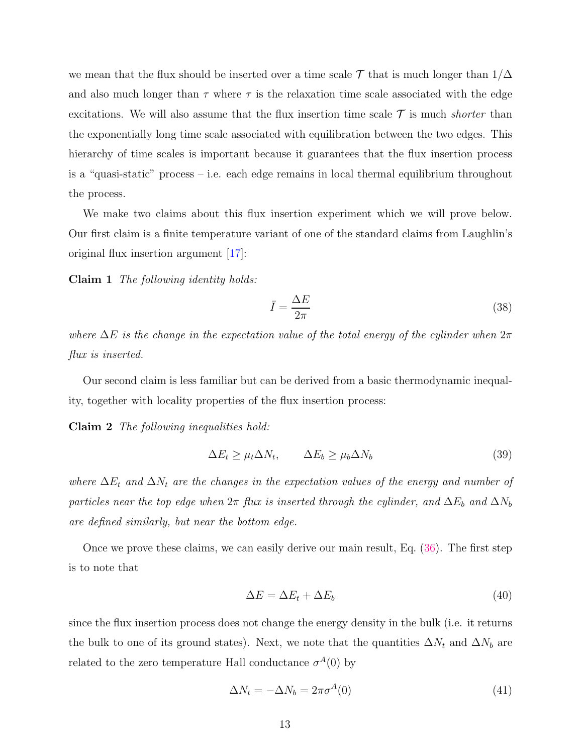we mean that the flux should be inserted over a time scale  $\mathcal T$  that is much longer than  $1/\Delta$ and also much longer than  $\tau$  where  $\tau$  is the relaxation time scale associated with the edge excitations. We will also assume that the flux insertion time scale  $\mathcal T$  is much *shorter* than the exponentially long time scale associated with equilibration between the two edges. This hierarchy of time scales is important because it guarantees that the flux insertion process is a "quasi-static" process – i.e. each edge remains in local thermal equilibrium throughout the process.

We make two claims about this flux insertion experiment which we will prove below. Our first claim is a finite temperature variant of one of the standard claims from Laughlin's original flux insertion argument [\[17\]](#page-26-7):

Claim 1 *The following identity holds:*

<span id="page-12-5"></span><span id="page-12-4"></span><span id="page-12-1"></span><span id="page-12-0"></span>
$$
\bar{I} = \frac{\Delta E}{2\pi} \tag{38}
$$

*where*  $\Delta E$  *is the change in the expectation value of the total energy of the cylinder when*  $2\pi$ *flux is inserted.*

Our second claim is less familiar but can be derived from a basic thermodynamic inequality, together with locality properties of the flux insertion process:

Claim 2 *The following inequalities hold:*

$$
\Delta E_t \ge \mu_t \Delta N_t, \qquad \Delta E_b \ge \mu_b \Delta N_b \tag{39}
$$

*where*  $\Delta E_t$  *and*  $\Delta N_t$  *are the changes in the expectation values of the energy and number of particles near the top edge when*  $2\pi$  *flux is inserted through the cylinder, and*  $\Delta E_b$  *and*  $\Delta N_b$ *are defined similarly, but near the bottom edge.*

Once we prove these claims, we can easily derive our main result, Eq. [\(36\)](#page-11-0). The first step is to note that

<span id="page-12-3"></span><span id="page-12-2"></span>
$$
\Delta E = \Delta E_t + \Delta E_b \tag{40}
$$

since the flux insertion process does not change the energy density in the bulk (i.e. it returns the bulk to one of its ground states). Next, we note that the quantities  $\Delta N_t$  and  $\Delta N_b$  are related to the zero temperature Hall conductance  $\sigma^{A}(0)$  by

$$
\Delta N_t = -\Delta N_b = 2\pi \sigma^A(0) \tag{41}
$$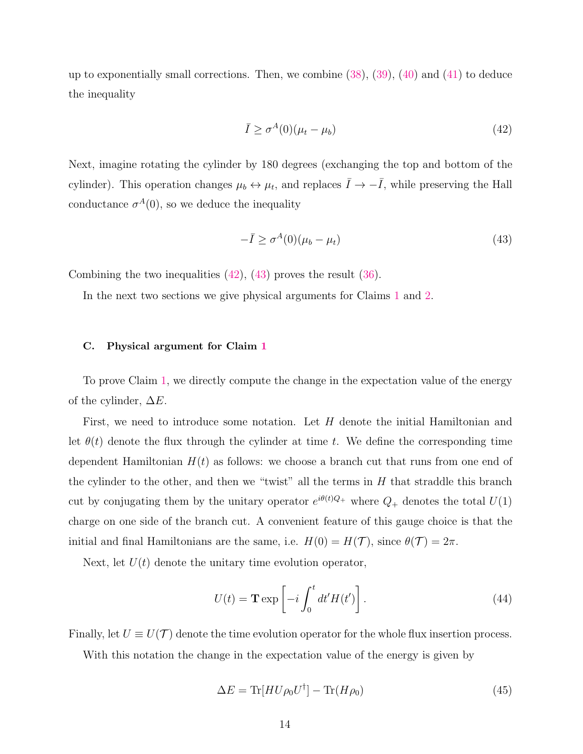up to exponentially small corrections. Then, we combine  $(38)$ ,  $(39)$ ,  $(40)$  and  $(41)$  to deduce the inequality

<span id="page-13-0"></span>
$$
\bar{I} \ge \sigma^A(0)(\mu_t - \mu_b) \tag{42}
$$

Next, imagine rotating the cylinder by 180 degrees (exchanging the top and bottom of the cylinder). This operation changes  $\mu_b \leftrightarrow \mu_t$ , and replaces  $\bar{I} \rightarrow -\bar{I}$ , while preserving the Hall conductance  $\sigma^{A}(0)$ , so we deduce the inequality

<span id="page-13-1"></span>
$$
-\bar{I} \ge \sigma^A(0)(\mu_b - \mu_t) \tag{43}
$$

Combining the two inequalities [\(42\)](#page-13-0), [\(43\)](#page-13-1) proves the result [\(36\)](#page-11-0).

In the next two sections we give physical arguments for Claims [1](#page-12-4) and [2.](#page-12-5)

#### C. Physical argument for Claim [1](#page-12-4)

To prove Claim [1,](#page-12-4) we directly compute the change in the expectation value of the energy of the cylinder,  $\Delta E$ .

First, we need to introduce some notation. Let  $H$  denote the initial Hamiltonian and let  $\theta(t)$  denote the flux through the cylinder at time t. We define the corresponding time dependent Hamiltonian  $H(t)$  as follows: we choose a branch cut that runs from one end of the cylinder to the other, and then we "twist" all the terms in  $H$  that straddle this branch cut by conjugating them by the unitary operator  $e^{i\theta(t)Q_+}$  where  $Q_+$  denotes the total  $U(1)$ charge on one side of the branch cut. A convenient feature of this gauge choice is that the initial and final Hamiltonians are the same, i.e.  $H(0) = H(\mathcal{T})$ , since  $\theta(\mathcal{T}) = 2\pi$ .

Next, let  $U(t)$  denote the unitary time evolution operator,

$$
U(t) = \mathbf{T} \exp\left[-i \int_0^t dt' H(t')\right].
$$
\n(44)

Finally, let  $U \equiv U(\mathcal{T})$  denote the time evolution operator for the whole flux insertion process.

With this notation the change in the expectation value of the energy is given by

$$
\Delta E = \text{Tr}[H U \rho_0 U^{\dagger}] - \text{Tr}(H \rho_0)
$$
\n(45)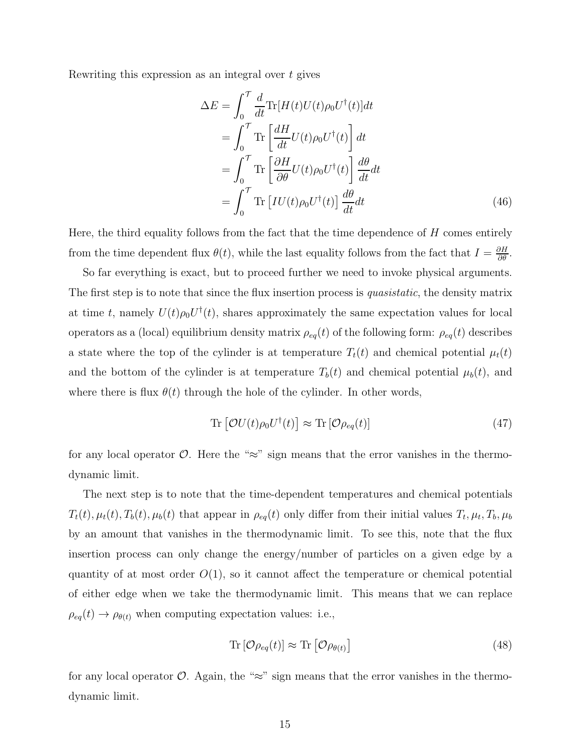Rewriting this expression as an integral over t gives

<span id="page-14-2"></span>
$$
\Delta E = \int_0^{\mathcal{T}} \frac{d}{dt} \text{Tr}[H(t)U(t)\rho_0 U^{\dagger}(t)]dt \n= \int_0^{\mathcal{T}} \text{Tr}\left[\frac{dH}{dt}U(t)\rho_0 U^{\dagger}(t)\right] dt \n= \int_0^{\mathcal{T}} \text{Tr}\left[\frac{\partial H}{\partial \theta}U(t)\rho_0 U^{\dagger}(t)\right] \frac{d\theta}{dt} dt \n= \int_0^{\mathcal{T}} \text{Tr}[IU(t)\rho_0 U^{\dagger}(t)] \frac{d\theta}{dt} dt
$$
\n(46)

Here, the third equality follows from the fact that the time dependence of  $H$  comes entirely from the time dependent flux  $\theta(t)$ , while the last equality follows from the fact that  $I = \frac{\partial H}{\partial \theta}$ .

So far everything is exact, but to proceed further we need to invoke physical arguments. The first step is to note that since the flux insertion process is *quasistatic*, the density matrix at time t, namely  $U(t)\rho_0 U^{\dagger}(t)$ , shares approximately the same expectation values for local operators as a (local) equilibrium density matrix  $\rho_{eq}(t)$  of the following form:  $\rho_{eq}(t)$  describes a state where the top of the cylinder is at temperature  $T_t(t)$  and chemical potential  $\mu_t(t)$ and the bottom of the cylinder is at temperature  $T_b(t)$  and chemical potential  $\mu_b(t)$ , and where there is flux  $\theta(t)$  through the hole of the cylinder. In other words,

<span id="page-14-0"></span>
$$
\operatorname{Tr}\left[\mathcal{O}U(t)\rho_0 U^{\dagger}(t)\right] \approx \operatorname{Tr}\left[\mathcal{O}\rho_{eq}(t)\right] \tag{47}
$$

for any local operator  $\mathcal{O}$ . Here the "≈" sign means that the error vanishes in the thermodynamic limit.

The next step is to note that the time-dependent temperatures and chemical potentials  $T_t(t), \mu_t(t), T_b(t), \mu_b(t)$  that appear in  $\rho_{eq}(t)$  only differ from their initial values  $T_t, \mu_t, T_b, \mu_b$ by an amount that vanishes in the thermodynamic limit. To see this, note that the flux insertion process can only change the energy/number of particles on a given edge by a quantity of at most order  $O(1)$ , so it cannot affect the temperature or chemical potential of either edge when we take the thermodynamic limit. This means that we can replace  $\rho_{eq}(t) \rightarrow \rho_{\theta(t)}$  when computing expectation values: i.e.,

<span id="page-14-1"></span>
$$
\operatorname{Tr}\left[\mathcal{O}\rho_{eq}(t)\right] \approx \operatorname{Tr}\left[\mathcal{O}\rho_{\theta(t)}\right] \tag{48}
$$

for any local operator  $\mathcal{O}$ . Again, the "≈" sign means that the error vanishes in the thermodynamic limit.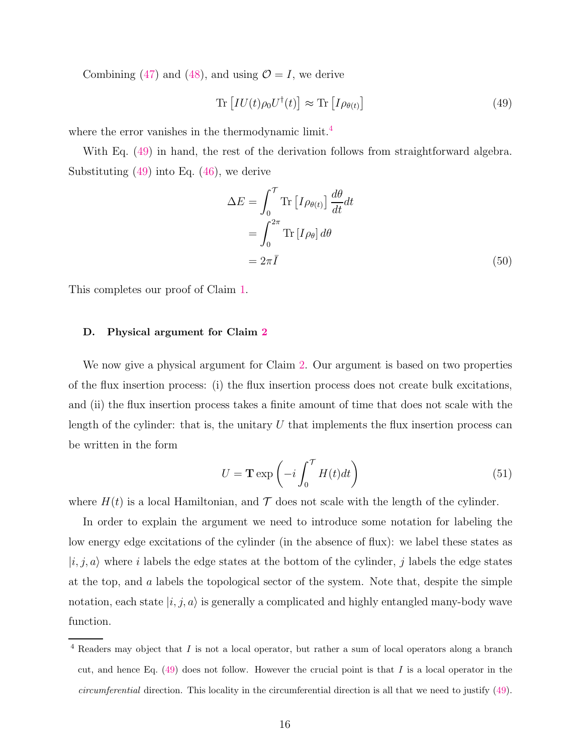Combining [\(47\)](#page-14-0) and [\(48\)](#page-14-1), and using  $\mathcal{O} = I$ , we derive

<span id="page-15-1"></span>
$$
\operatorname{Tr}\left[IU(t)\rho_0 U^\dagger(t)\right] \approx \operatorname{Tr}\left[ I\rho_{\theta(t)} \right] \tag{49}
$$

where the error vanishes in the thermodynamic limit.<sup>[4](#page-15-0)</sup>

With Eq. [\(49\)](#page-15-1) in hand, the rest of the derivation follows from straightforward algebra. Substituting  $(49)$  into Eq.  $(46)$ , we derive

$$
\Delta E = \int_0^{\mathcal{T}} \text{Tr} \left[ I \rho_{\theta(t)} \right] \frac{d\theta}{dt} dt
$$
  
= 
$$
\int_0^{2\pi} \text{Tr} \left[ I \rho_\theta \right] d\theta
$$
  
= 
$$
2\pi \bar{I}
$$
 (50)

This completes our proof of Claim [1.](#page-12-4)

#### D. Physical argument for Claim [2](#page-12-5)

We now give a physical argument for Claim [2.](#page-12-5) Our argument is based on two properties of the flux insertion process: (i) the flux insertion process does not create bulk excitations, and (ii) the flux insertion process takes a finite amount of time that does not scale with the length of the cylinder: that is, the unitary  $U$  that implements the flux insertion process can be written in the form

<span id="page-15-2"></span>
$$
U = \mathbf{T} \exp\left(-i \int_0^{\mathcal{T}} H(t)dt\right)
$$
\n(51)

where  $H(t)$  is a local Hamiltonian, and  $\mathcal T$  does not scale with the length of the cylinder.

In order to explain the argument we need to introduce some notation for labeling the low energy edge excitations of the cylinder (in the absence of flux): we label these states as  $|i, j, a\rangle$  where i labels the edge states at the bottom of the cylinder, j labels the edge states at the top, and a labels the topological sector of the system. Note that, despite the simple notation, each state  $|i, j, a\rangle$  is generally a complicated and highly entangled many-body wave function.

<span id="page-15-0"></span> $4$  Readers may object that  $I$  is not a local operator, but rather a sum of local operators along a branch cut, and hence Eq.  $(49)$  does not follow. However the crucial point is that I is a local operator in the circumferential direction. This locality in the circumferential direction is all that we need to justify [\(49\)](#page-15-1).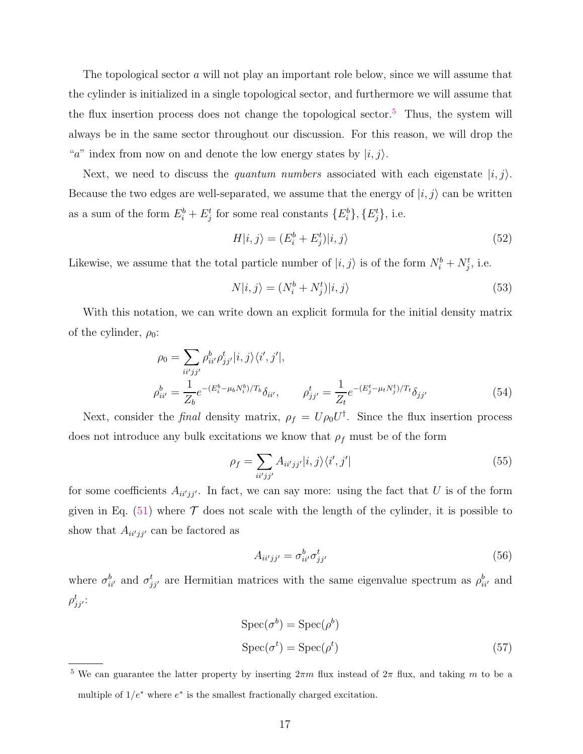The topological sector a will not play an important role below, since we will assume that the cylinder is initialized in a single topological sector, and furthermore we will assume that the flux insertion process does not change the topological sector. [5](#page-16-0) Thus, the system will always be in the same sector throughout our discussion. For this reason, we will drop the "a" index from now on and denote the low energy states by  $|i, j\rangle$ .

Next, we need to discuss the *quantum numbers* associated with each eigenstate  $|i, j\rangle$ . Because the two edges are well-separated, we assume that the energy of  $|i, j\rangle$  can be written as a sum of the form  $E_i^b + E_j^t$  for some real constants  $\{E_i^b\}$ ,  $\{E_j^t\}$ , i.e.

$$
H|i,j\rangle = (E_i^b + E_j^t)|i,j\rangle \tag{52}
$$

Likewise, we assume that the total particle number of  $|i, j\rangle$  is of the form  $N_i^b + N_j^t$ , i.e.

$$
N|i,j\rangle = (N_i^b + N_j^t)|i,j\rangle \tag{53}
$$

With this notation, we can write down an explicit formula for the initial density matrix of the cylinder,  $\rho_0$ :

$$
\rho_0 = \sum_{ii'jj'} \rho_{ii'}^b \rho_{jj'}^t |i, j\rangle \langle i', j'|,
$$
  
\n
$$
\rho_{ii'}^b = \frac{1}{Z_b} e^{-(E_i^b - \mu_b N_i^b)/T_b} \delta_{ii'}, \qquad \rho_{jj'}^t = \frac{1}{Z_t} e^{-(E_j^t - \mu_t N_j^t)/T_t} \delta_{jj'}
$$
\n(54)

Next, consider the *final* density matrix,  $\rho_f = U \rho_0 U^{\dagger}$ . Since the flux insertion process does not introduce any bulk excitations we know that  $\rho_f$  must be of the form

$$
\rho_f = \sum_{ii'jj'} A_{ii'jj'} |i,j\rangle\langle i',j'| \tag{55}
$$

for some coefficients  $A_{ii'jj'}$ . In fact, we can say more: using the fact that U is of the form given in Eq.  $(51)$  where  $\mathcal T$  does not scale with the length of the cylinder, it is possible to show that  $A_{ii'jj'}$  can be factored as

<span id="page-16-2"></span><span id="page-16-1"></span>
$$
A_{ii'jj'} = \sigma_{ii'}^b \sigma_{jj'}^t \tag{56}
$$

where  $\sigma_{ii'}^b$  and  $\sigma_{jj'}^t$  are Hermitian matrices with the same eigenvalue spectrum as  $\rho_{ii'}^b$  and  $\rho_{jj^\prime}^t$ :

$$
Spec(\sigma^{b}) = Spec(\rho^{b})
$$
  
\n
$$
Spec(\sigma^{t}) = Spec(\rho^{t})
$$
\n(57)

<span id="page-16-0"></span><sup>&</sup>lt;sup>5</sup> We can guarantee the latter property by inserting  $2\pi m$  flux instead of  $2\pi$  flux, and taking m to be a multiple of  $1/e^*$  where  $e^*$  is the smallest fractionally charged excitation.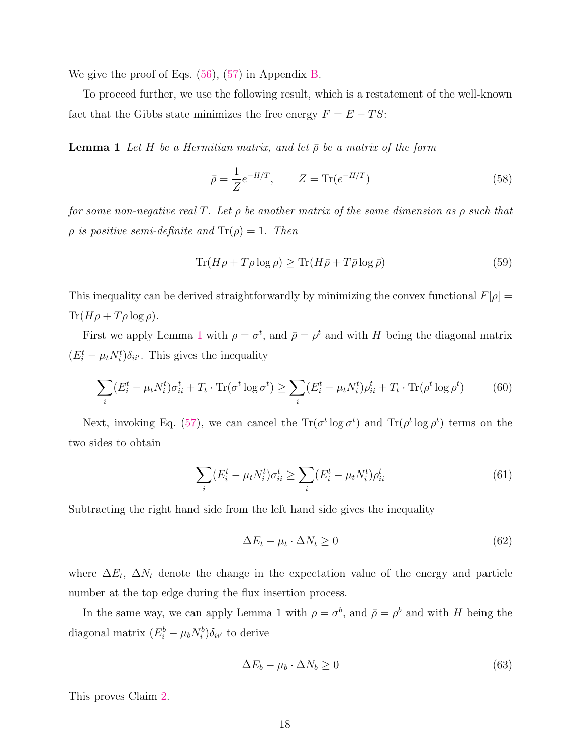We give the proof of Eqs. [\(56\)](#page-16-1), [\(57\)](#page-16-2) in Appendix [B.](#page-20-0)

<span id="page-17-0"></span>To proceed further, we use the following result, which is a restatement of the well-known fact that the Gibbs state minimizes the free energy  $F = E - TS$ :

**Lemma 1** Let H be a Hermitian matrix, and let  $\bar{\rho}$  be a matrix of the form

$$
\bar{\rho} = \frac{1}{Z} e^{-H/T}, \qquad Z = \text{Tr}(e^{-H/T})
$$
\n(58)

*for some non-negative real* T*. Let* ρ *be another matrix of the same dimension as* ρ *such that*  $\rho$  *is positive semi-definite and*  $Tr(\rho) = 1$ *. Then* 

$$
\text{Tr}(H\rho + T\rho \log \rho) \ge \text{Tr}(H\bar{\rho} + T\bar{\rho} \log \bar{\rho})\tag{59}
$$

This inequality can be derived straightforwardly by minimizing the convex functional  $F[\rho]=$  $\text{Tr}(H\rho + T\rho \log \rho).$ 

First we apply Lemma [1](#page-17-0) with  $\rho = \sigma^t$ , and  $\bar{\rho} = \rho^t$  and with H being the diagonal matrix  $(E_i^t - \mu_t N_i^t) \delta_{ii'}$ . This gives the inequality

$$
\sum_{i} (E_i^t - \mu_t N_i^t) \sigma_{ii}^t + T_t \cdot \text{Tr}(\sigma^t \log \sigma^t) \ge \sum_{i} (E_i^t - \mu_t N_i^t) \rho_{ii}^t + T_t \cdot \text{Tr}(\rho^t \log \rho^t) \tag{60}
$$

Next, invoking Eq. [\(57\)](#page-16-2), we can cancel the  $\text{Tr}(\sigma^t \log \sigma^t)$  and  $\text{Tr}(\rho^t \log \rho^t)$  terms on the two sides to obtain

$$
\sum_{i} (E_i^t - \mu_t N_i^t) \sigma_{ii}^t \ge \sum_{i} (E_i^t - \mu_t N_i^t) \rho_{ii}^t \tag{61}
$$

Subtracting the right hand side from the left hand side gives the inequality

$$
\Delta E_t - \mu_t \cdot \Delta N_t \ge 0 \tag{62}
$$

where  $\Delta E_t$ ,  $\Delta N_t$  denote the change in the expectation value of the energy and particle number at the top edge during the flux insertion process.

In the same way, we can apply Lemma 1 with  $\rho = \sigma^b$ , and  $\bar{\rho} = \rho^b$  and with H being the diagonal matrix  $(E_i^b - \mu_b N_i^b)\delta_{ii'}$  to derive

$$
\Delta E_b - \mu_b \cdot \Delta N_b \ge 0 \tag{63}
$$

This proves Claim [2.](#page-12-5)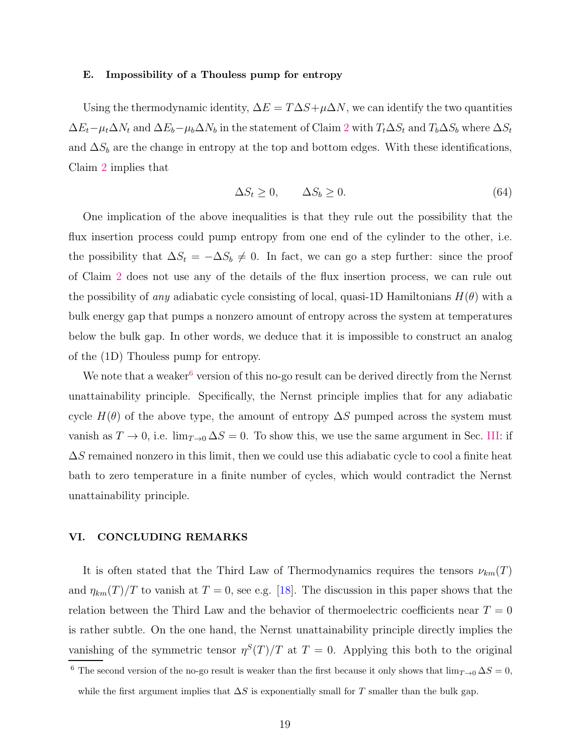#### E. Impossibility of a Thouless pump for entropy

Using the thermodynamic identity,  $\Delta E = T \Delta S + \mu \Delta N$ , we can identify the two quantities  $\Delta E_t-\mu_t\Delta N_t$  and  $\Delta E_b-\mu_b\Delta N_b$  in the statement of Claim [2](#page-12-5) with  $T_t\Delta S_t$  and  $T_b\Delta S_b$  where  $\Delta S_t$ and  $\Delta S_b$  are the change in entropy at the top and bottom edges. With these identifications, Claim [2](#page-12-5) implies that

$$
\Delta S_t \ge 0, \qquad \Delta S_b \ge 0. \tag{64}
$$

One implication of the above inequalities is that they rule out the possibility that the flux insertion process could pump entropy from one end of the cylinder to the other, i.e. the possibility that  $\Delta S_t = -\Delta S_b \neq 0$ . In fact, we can go a step further: since the proof of Claim [2](#page-12-5) does not use any of the details of the flux insertion process, we can rule out the possibility of *any* adiabatic cycle consisting of local, quasi-1D Hamiltonians  $H(\theta)$  with a bulk energy gap that pumps a nonzero amount of entropy across the system at temperatures below the bulk gap. In other words, we deduce that it is impossible to construct an analog of the (1D) Thouless pump for entropy.

We note that a weaker<sup>[6](#page-18-0)</sup> version of this no-go result can be derived directly from the Nernst unattainability principle. Specifically, the Nernst principle implies that for any adiabatic cycle  $H(\theta)$  of the above type, the amount of entropy  $\Delta S$  pumped across the system must vanish as  $T \to 0$ , i.e.  $\lim_{T \to 0} \Delta S = 0$ . To show this, we use the same argument in Sec. [III:](#page-5-3) if  $\Delta S$  remained nonzero in this limit, then we could use this adiabatic cycle to cool a finite heat bath to zero temperature in a finite number of cycles, which would contradict the Nernst unattainability principle.

#### VI. CONCLUDING REMARKS

It is often stated that the Third Law of Thermodynamics requires the tensors  $\nu_{km}(T)$ and  $\eta_{km}(T)/T$  to vanish at  $T = 0$ , see e.g. [\[18](#page-26-8)]. The discussion in this paper shows that the relation between the Third Law and the behavior of thermoelectric coefficients near  $T = 0$ is rather subtle. On the one hand, the Nernst unattainability principle directly implies the vanishing of the symmetric tensor  $\eta^{S}(T)/T$  at  $T=0$ . Applying this both to the original

<span id="page-18-0"></span><sup>&</sup>lt;sup>6</sup> The second version of the no-go result is weaker than the first because it only shows that  $\lim_{T\to 0} \Delta S = 0$ , while the first argument implies that  $\Delta S$  is exponentially small for T smaller than the bulk gap.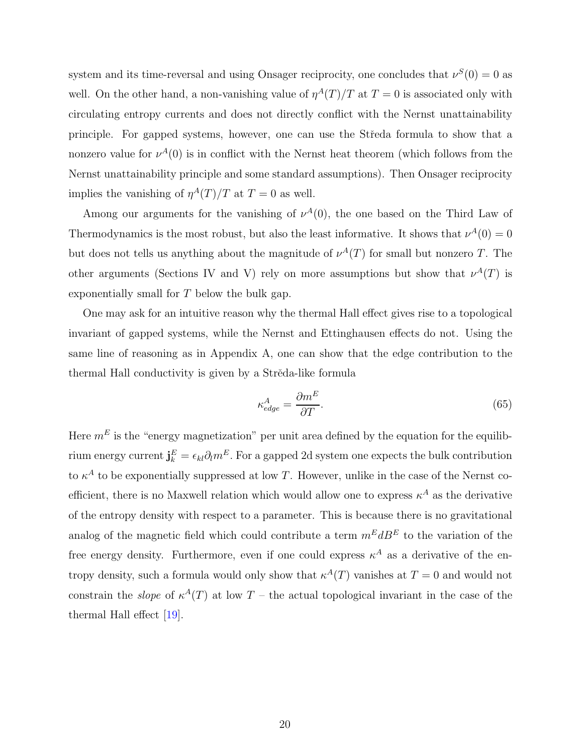system and its time-reversal and using Onsager reciprocity, one concludes that  $\nu^S(0) = 0$  as well. On the other hand, a non-vanishing value of  $\eta^{A}(T)/T$  at  $T=0$  is associated only with circulating entropy currents and does not directly conflict with the Nernst unattainability principle. For gapped systems, however, one can use the Stˇreda formula to show that a nonzero value for  $\nu^{A}(0)$  is in conflict with the Nernst heat theorem (which follows from the Nernst unattainability principle and some standard assumptions). Then Onsager reciprocity implies the vanishing of  $\eta^A(T)/T$  at  $T=0$  as well.

Among our arguments for the vanishing of  $\nu^A(0)$ , the one based on the Third Law of Thermodynamics is the most robust, but also the least informative. It shows that  $\nu^{A}(0) = 0$ but does not tells us anything about the magnitude of  $\nu^{A}(T)$  for small but nonzero T. The other arguments (Sections IV and V) rely on more assumptions but show that  $\nu^{A}(T)$  is exponentially small for T below the bulk gap.

One may ask for an intuitive reason why the thermal Hall effect gives rise to a topological invariant of gapped systems, while the Nernst and Ettinghausen effects do not. Using the same line of reasoning as in Appendix A, one can show that the edge contribution to the thermal Hall conductivity is given by a Strěda-like formula

$$
\kappa_{edge}^A = \frac{\partial m^E}{\partial T}.
$$
\n(65)

Here  $m<sup>E</sup>$  is the "energy magnetization" per unit area defined by the equation for the equilibrium energy current  $\mathbf{j}_{k}^{E} = \epsilon_{kl} \partial_l m^{E}$ . For a gapped 2d system one expects the bulk contribution to  $\kappa^A$  to be exponentially suppressed at low T. However, unlike in the case of the Nernst coefficient, there is no Maxwell relation which would allow one to express  $\kappa^A$  as the derivative of the entropy density with respect to a parameter. This is because there is no gravitational analog of the magnetic field which could contribute a term  $m^E d B^E$  to the variation of the free energy density. Furthermore, even if one could express  $\kappa^A$  as a derivative of the entropy density, such a formula would only show that  $\kappa^{A}(T)$  vanishes at  $T=0$  and would not constrain the *slope* of  $\kappa^A(T)$  at low T – the actual topological invariant in the case of the thermal Hall effect [\[19](#page-26-9)].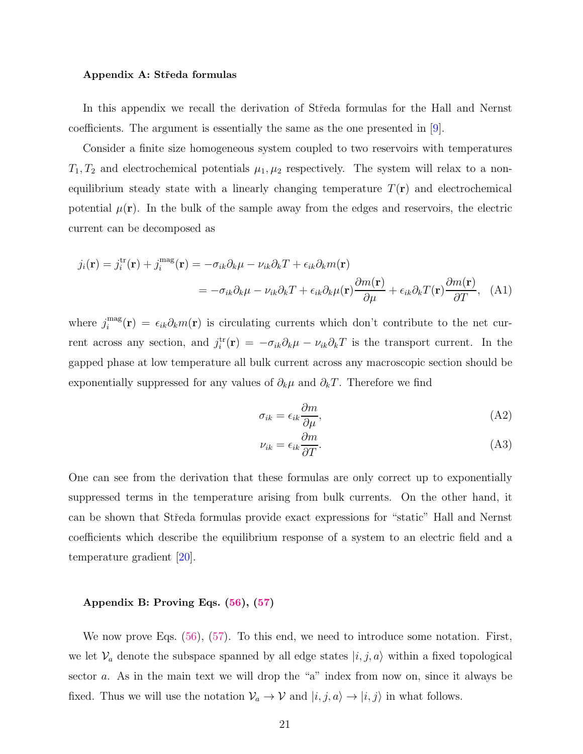#### Appendix A: Středa formulas

In this appendix we recall the derivation of Středa formulas for the Hall and Nernst coefficients. The argument is essentially the same as the one presented in [\[9\]](#page-25-8).

Consider a finite size homogeneous system coupled to two reservoirs with temperatures  $T_1, T_2$  and electrochemical potentials  $\mu_1, \mu_2$  respectively. The system will relax to a nonequilibrium steady state with a linearly changing temperature  $T(\mathbf{r})$  and electrochemical potential  $\mu(\mathbf{r})$ . In the bulk of the sample away from the edges and reservoirs, the electric current can be decomposed as

$$
j_i(\mathbf{r}) = j_i^{\text{tr}}(\mathbf{r}) + j_i^{\text{mag}}(\mathbf{r}) = -\sigma_{ik}\partial_k\mu - \nu_{ik}\partial_kT + \epsilon_{ik}\partial_km(\mathbf{r})
$$
  

$$
= -\sigma_{ik}\partial_k\mu - \nu_{ik}\partial_kT + \epsilon_{ik}\partial_k\mu(\mathbf{r})\frac{\partial m(\mathbf{r})}{\partial \mu} + \epsilon_{ik}\partial_kT(\mathbf{r})\frac{\partial m(\mathbf{r})}{\partial T}, \quad (A1)
$$

where  $j_i^{\text{mag}}$  $\sum_{i=1}^{marg}(\mathbf{r}) = \epsilon_{ik}\partial_k m(\mathbf{r})$  is circulating currents which don't contribute to the net current across any section, and  $j_i^{\text{tr}}(\mathbf{r}) = -\sigma_{ik}\partial_k \mu - \nu_{ik}\partial_k T$  is the transport current. In the gapped phase at low temperature all bulk current across any macroscopic section should be exponentially suppressed for any values of  $\partial_k \mu$  and  $\partial_k T$ . Therefore we find

$$
\sigma_{ik} = \epsilon_{ik} \frac{\partial m}{\partial \mu},\tag{A2}
$$

$$
\nu_{ik} = \epsilon_{ik} \frac{\partial m}{\partial T}.
$$
\n(A3)

One can see from the derivation that these formulas are only correct up to exponentially suppressed terms in the temperature arising from bulk currents. On the other hand, it can be shown that Středa formulas provide exact expressions for "static" Hall and Nernst coefficients which describe the equilibrium response of a system to an electric field and a temperature gradient [\[20\]](#page-26-10).

#### <span id="page-20-0"></span>Appendix B: Proving Eqs. [\(56\)](#page-16-1), [\(57\)](#page-16-2)

We now prove Eqs.  $(56)$ ,  $(57)$ . To this end, we need to introduce some notation. First, we let  $\mathcal{V}_a$  denote the subspace spanned by all edge states  $|i, j, a\rangle$  within a fixed topological sector a. As in the main text we will drop the "a" index from now on, since it always be fixed. Thus we will use the notation  $\mathcal{V}_a \to \mathcal{V}$  and  $|i, j, a\rangle \to |i, j\rangle$  in what follows.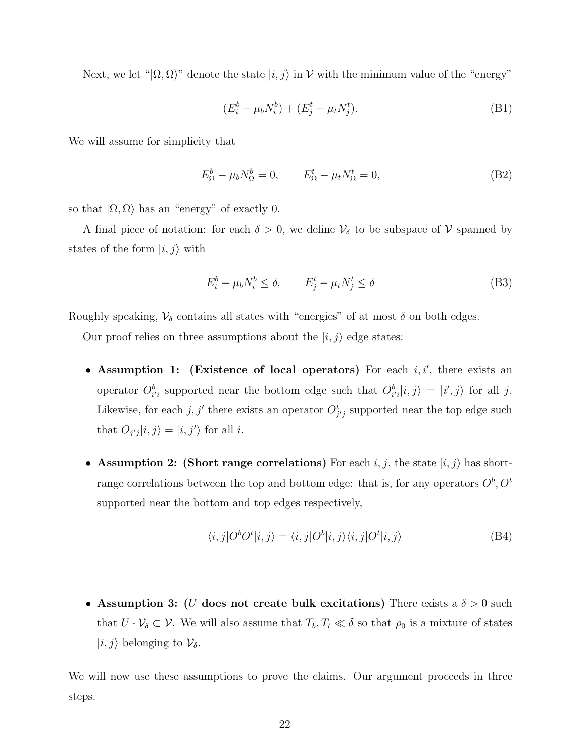Next, we let " $|\Omega, \Omega\rangle$ " denote the state  $|i, j\rangle$  in V with the minimum value of the "energy"

$$
(E_i^b - \mu_b N_i^b) + (E_j^t - \mu_t N_j^t). \tag{B1}
$$

We will assume for simplicity that

$$
E_{\Omega}^{b} - \mu_b N_{\Omega}^{b} = 0, \qquad E_{\Omega}^{t} - \mu_t N_{\Omega}^{t} = 0,
$$
\n(B2)

so that  $|\Omega, \Omega\rangle$  has an "energy" of exactly 0.

A final piece of notation: for each  $\delta > 0$ , we define  $V_{\delta}$  to be subspace of V spanned by states of the form  $|i, j\rangle$  with

$$
E_i^b - \mu_b N_i^b \le \delta, \qquad E_j^t - \mu_t N_j^t \le \delta \tag{B3}
$$

Roughly speaking,  $\mathcal{V}_{\delta}$  contains all states with "energies" of at most  $\delta$  on both edges.

Our proof relies on three assumptions about the  $|i, j\rangle$  edge states:

- Assumption 1: (Existence of local operators) For each  $i, i'$ , there exists an operator  $O_{i'i}^b$  supported near the bottom edge such that  $O_{i'i}^b|i,j\rangle = |i',j\rangle$  for all j. Likewise, for each j, j' there exists an operator  $O_{j'j}^t$  supported near the top edge such that  $O_{j'j}|i, j\rangle = |i, j'\rangle$  for all i.
- Assumption 2: (Short range correlations) For each  $i, j$ , the state  $|i, j\rangle$  has shortrange correlations between the top and bottom edge: that is, for any operators  $O^b$ ,  $O^t$ supported near the bottom and top edges respectively,

$$
\langle i,j|O^b O^t|i,j\rangle = \langle i,j|O^b|i,j\rangle \langle i,j|O^t|i,j\rangle \tag{B4}
$$

• Assumption 3: (U does not create bulk excitations) There exists a  $\delta > 0$  such that  $U \cdot \mathcal{V}_\delta \subset \mathcal{V}$ . We will also assume that  $T_b, T_t \ll \delta$  so that  $\rho_0$  is a mixture of states  $|i, j\rangle$  belonging to  $\mathcal{V}_{\delta}$ .

We will now use these assumptions to prove the claims. Our argument proceeds in three steps.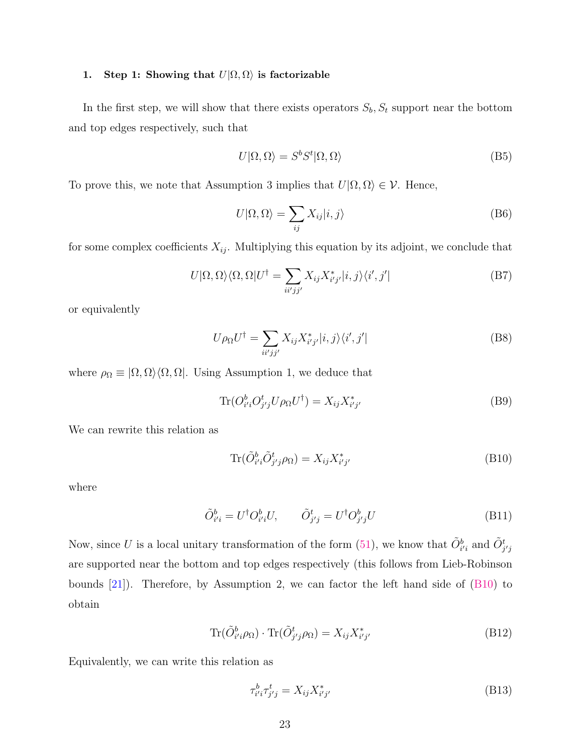#### 1. Step 1: Showing that  $U|\Omega,\Omega\rangle$  is factorizable

In the first step, we will show that there exists operators  $S_b$ ,  $S_t$  support near the bottom and top edges respectively, such that

<span id="page-22-3"></span>
$$
U|\Omega,\Omega\rangle = S^b S^t |\Omega,\Omega\rangle \tag{B5}
$$

To prove this, we note that Assumption 3 implies that  $U|\Omega,\Omega\rangle \in \mathcal{V}$ . Hence,

<span id="page-22-2"></span>
$$
U|\Omega,\Omega\rangle = \sum_{ij} X_{ij}|i,j\rangle
$$
 (B6)

for some complex coefficients  $X_{ij}$ . Multiplying this equation by its adjoint, we conclude that

$$
U|\Omega,\Omega\rangle\langle\Omega,\Omega|U^{\dagger} = \sum_{ii'jj'} X_{ij}X_{i'j'}^{*}|i,j\rangle\langle i',j'|
$$
 (B7)

or equivalently

$$
U\rho_{\Omega}U^{\dagger} = \sum_{ii'jj'} X_{ij}X_{i'j'}^*|i,j\rangle\langle i',j'|
$$
 (B8)

where  $\rho_{\Omega} \equiv |\Omega, \Omega\rangle \langle \Omega, \Omega|$ . Using Assumption 1, we deduce that

$$
\text{Tr}(O_{i'i}^b O_{j'j}^t U \rho_\Omega U^\dagger) = X_{ij} X_{i'j'}^* \tag{B9}
$$

We can rewrite this relation as

<span id="page-22-0"></span>
$$
\text{Tr}(\tilde{O}_{i'i}^b \tilde{O}_{j'j}^t \rho_\Omega) = X_{ij} X_{i'j'}^* \tag{B10}
$$

where

$$
\tilde{O}_{i'i}^b = U^\dagger O_{i'i}^b U, \qquad \tilde{O}_{j'j}^t = U^\dagger O_{j'j}^b U \tag{B11}
$$

Now, since U is a local unitary transformation of the form [\(51\)](#page-15-2), we know that  $\tilde{O}_{i'i}^b$  and  $\tilde{O}_{j'j}^t$ are supported near the bottom and top edges respectively (this follows from Lieb-Robinson bounds [\[21\]](#page-26-11)). Therefore, by Assumption 2, we can factor the left hand side of [\(B10\)](#page-22-0) to obtain

$$
\text{Tr}(\tilde{O}_{i'i}^b \rho_\Omega) \cdot \text{Tr}(\tilde{O}_{j'j}^t \rho_\Omega) = X_{ij} X_{i'j'}^* \tag{B12}
$$

Equivalently, we can write this relation as

<span id="page-22-1"></span>
$$
\tau_{i'i}^b \tau_{j'j}^t = X_{ij} X_{i'j'}^* \tag{B13}
$$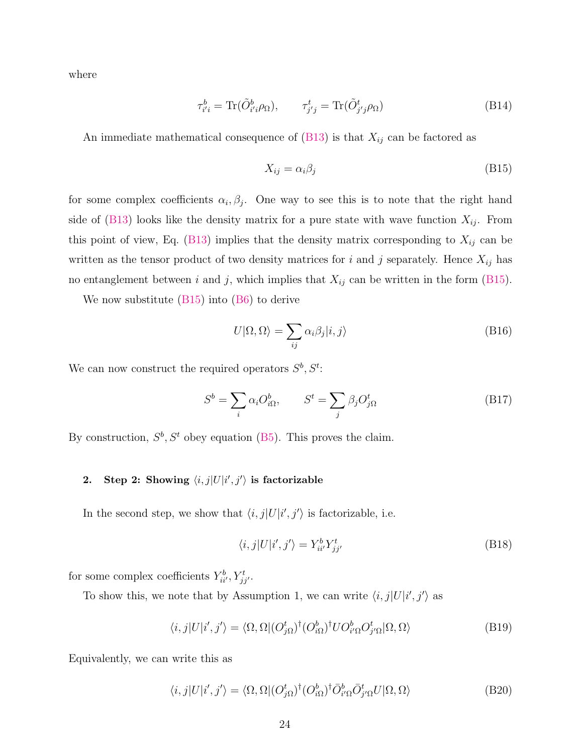where

$$
\tau_{i'i}^b = \text{Tr}(\tilde{O}_{i'i}^b \rho_\Omega), \qquad \tau_{j'j}^t = \text{Tr}(\tilde{O}_{j'j}^t \rho_\Omega) \tag{B14}
$$

An immediate mathematical consequence of  $(B13)$  is that  $X_{ij}$  can be factored as

<span id="page-23-0"></span>
$$
X_{ij} = \alpha_i \beta_j \tag{B15}
$$

for some complex coefficients  $\alpha_i, \beta_j$ . One way to see this is to note that the right hand side of [\(B13\)](#page-22-1) looks like the density matrix for a pure state with wave function  $X_{ij}$ . From this point of view, Eq. [\(B13\)](#page-22-1) implies that the density matrix corresponding to  $X_{ij}$  can be written as the tensor product of two density matrices for i and j separately. Hence  $X_{ij}$  has no entanglement between i and j, which implies that  $X_{ij}$  can be written in the form [\(B15\)](#page-23-0).

We now substitute [\(B15\)](#page-23-0) into [\(B6\)](#page-22-2) to derive

$$
U|\Omega,\Omega\rangle = \sum_{ij} \alpha_i \beta_j |i,j\rangle \tag{B16}
$$

We can now construct the required operators  $S^b, S^t$ :

$$
S^{b} = \sum_{i} \alpha_{i} O_{i\Omega}^{b}, \qquad S^{t} = \sum_{j} \beta_{j} O_{j\Omega}^{t}
$$
 (B17)

By construction,  $S^b$ ,  $S^t$  obey equation [\(B5\)](#page-22-3). This proves the claim.

## 2. Step 2: Showing  $\langle i, j|U|i', j'\rangle$  is factorizable

In the second step, we show that  $\langle i, j|U|i', j'\rangle$  is factorizable, i.e.

<span id="page-23-1"></span>
$$
\langle i,j|U|i',j'\rangle = Y_{ii'}^b Y_{jj'}^t \tag{B18}
$$

for some complex coefficients  $Y_{ii'}^b, Y_{jj'}^t$ .

To show this, we note that by Assumption 1, we can write  $\langle i, j | U | i', j' \rangle$  as

$$
\langle i,j|U|i',j'\rangle = \langle \Omega, \Omega | (O_{j\Omega}^t)^{\dagger} (O_{i\Omega}^b)^{\dagger} U O_{i'\Omega}^b O_{j'\Omega}^t | \Omega, \Omega \rangle \tag{B19}
$$

Equivalently, we can write this as

$$
\langle i,j|U|i',j'\rangle = \langle \Omega, \Omega | (O_{j\Omega}^t)^{\dagger} (O_{i\Omega}^b)^{\dagger} \bar{O}_{i'\Omega}^b \bar{O}_{j'\Omega}^t U | \Omega, \Omega \rangle \tag{B20}
$$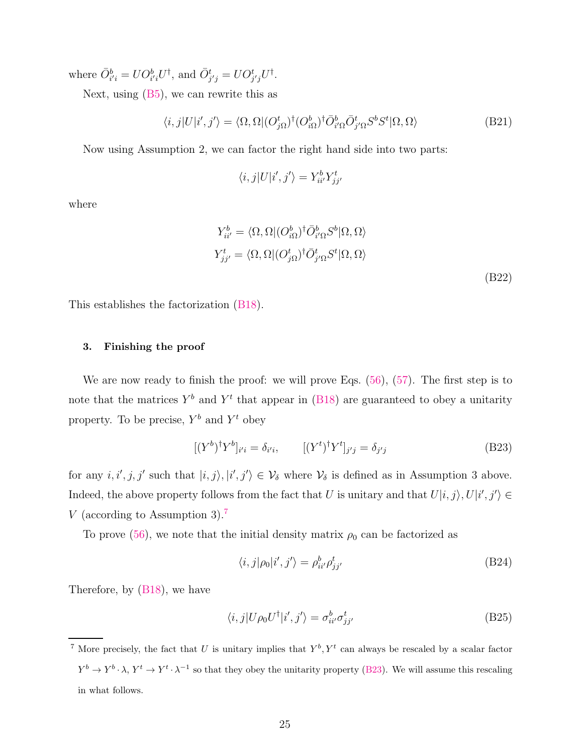where  $\overline{O}_{i'i}^b = U O_{i'i}^b U^{\dagger}$ , and  $\overline{O}_{j'j}^t = U O_{j'j}^t U^{\dagger}$ .

Next, using  $(B5)$ , we can rewrite this as

$$
\langle i,j|U|i',j'\rangle = \langle \Omega, \Omega | (O_{j\Omega}^t)^{\dagger} (O_{i\Omega}^b)^{\dagger} \bar{O}_{i'\Omega}^b \bar{O}_{j'\Omega}^t S^b S^t | \Omega, \Omega \rangle \tag{B21}
$$

Now using Assumption 2, we can factor the right hand side into two parts:

$$
\langle i,j|U|i',j'\rangle=Y_{ii'}^bY_{jj'}^t
$$

where

$$
Y_{ii'}^b = \langle \Omega, \Omega | (O_{i\Omega}^b)^\dagger \bar{O}_{i'\Omega}^b S^b | \Omega, \Omega \rangle
$$
  
\n
$$
Y_{jj'}^t = \langle \Omega, \Omega | (O_{j\Omega}^t)^\dagger \bar{O}_{j'\Omega}^t S^t | \Omega, \Omega \rangle
$$
  
\n(B22)

This establishes the factorization [\(B18\)](#page-23-1).

#### 3. Finishing the proof

We are now ready to finish the proof: we will prove Eqs.  $(56)$ ,  $(57)$ . The first step is to note that the matrices  $Y^b$  and  $Y^t$  that appear in [\(B18\)](#page-23-1) are guaranteed to obey a unitarity property. To be precise,  $Y^b$  and  $Y^t$  obey

$$
[(Yb)\daggerYb]i'i = \deltai'i, \qquad [(Yt)\daggerYt]j'j = \deltaj'j
$$
 (B23)

for any  $i, i', j, j'$  such that  $|i, j \rangle, |i', j' \rangle \in \mathcal{V}_{\delta}$  where  $\mathcal{V}_{\delta}$  is defined as in Assumption 3 above. Indeed, the above property follows from the fact that U is unitary and that  $U|i, j\rangle, U|i', j'\rangle \in$ V (according to Assumption 3).[7](#page-24-0)

To prove [\(56\)](#page-16-1), we note that the initial density matrix  $\rho_0$  can be factorized as

<span id="page-24-1"></span>
$$
\langle i,j|\rho_0|i',j'\rangle = \rho_{ii'}^b \rho_{jj'}^t \tag{B24}
$$

Therefore, by [\(B18\)](#page-23-1), we have

$$
\langle i,j|U\rho_0 U^{\dagger}|i',j'\rangle = \sigma_{ii'}^b \sigma_{jj'}^t \tag{B25}
$$

<span id="page-24-0"></span><sup>&</sup>lt;sup>7</sup> More precisely, the fact that U is unitary implies that  $Y^b, Y^t$  can always be rescaled by a scalar factor  $Y^b \to Y^b \cdot \lambda$ ,  $Y^t \to Y^t \cdot \lambda^{-1}$  so that they obey the unitarity property [\(B23\)](#page-24-1). We will assume this rescaling in what follows.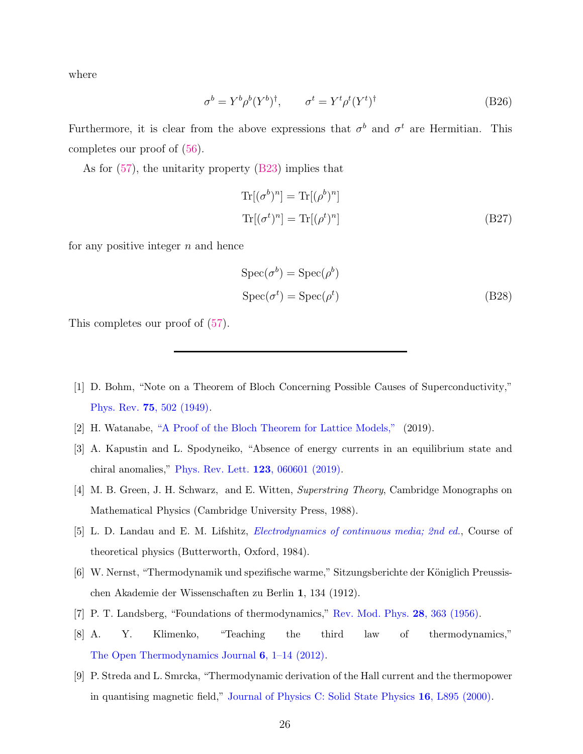where

$$
\sigma^b = Y^b \rho^b (Y^b)^\dagger, \qquad \sigma^t = Y^t \rho^t (Y^t)^\dagger \tag{B26}
$$

Furthermore, it is clear from the above expressions that  $\sigma^b$  and  $\sigma^t$  are Hermitian. This completes our proof of [\(56\)](#page-16-1).

As for [\(57\)](#page-16-2), the unitarity property [\(B23\)](#page-24-1) implies that

$$
\operatorname{Tr}[(\sigma^b)^n] = \operatorname{Tr}[(\rho^b)^n]
$$
  

$$
\operatorname{Tr}[(\sigma^t)^n] = \operatorname{Tr}[(\rho^t)^n]
$$
 (B27)

for any positive integer  $n$  and hence

$$
Spec(\sigma^{b}) = Spec(\rho^{b})
$$
  
\n
$$
Spec(\sigma^{t}) = Spec(\rho^{t})
$$
 (B28)

This completes our proof of [\(57\)](#page-16-2).

- <span id="page-25-0"></span>[1] D. Bohm, "Note on a Theorem of Bloch Concerning Possible Causes of Superconductivity," Phys. Rev. 75[, 502 \(1949\).](http://dx.doi.org/10.1103/PhysRev.75.502)
- <span id="page-25-1"></span>[2] H. Watanabe, ["A Proof of the Bloch Theorem for Lattice Models,"](http://dx.doi.org/10.1007/s10955-019-02386-1) (2019).
- <span id="page-25-2"></span>[3] A. Kapustin and L. Spodyneiko, "Absence of energy currents in an equilibrium state and chiral anomalies," [Phys. Rev. Lett.](http://dx.doi.org/10.1103/PhysRevLett.123.060601) 123, 060601 (2019).
- <span id="page-25-3"></span>[4] M. B. Green, J. H. Schwarz, and E. Witten, Superstring Theory, Cambridge Monographs on Mathematical Physics (Cambridge University Press, 1988).
- <span id="page-25-4"></span>[5] L. D. Landau and E. M. Lifshitz, [Electrodynamics of continuous media; 2nd ed.](https://cds.cern.ch/record/712712), Course of theoretical physics (Butterworth, Oxford, 1984).
- <span id="page-25-5"></span>[6] W. Nernst, "Thermodynamik und spezifische warme," Sitzungsberichte der Königlich Preussischen Akademie der Wissenschaften zu Berlin 1, 134 (1912).
- <span id="page-25-6"></span>[7] P. T. Landsberg, "Foundations of thermodynamics," [Rev. Mod. Phys.](http://dx.doi.org/10.1103/RevModPhys.28.363) 28, 363 (1956).
- <span id="page-25-7"></span>[8] A. Y. Klimenko, "Teaching the third law of thermodynamics," [The Open Thermodynamics Journal](http://dx.doi.org/10.2174/1874396x01206010001) 6, 1–14 (2012).
- <span id="page-25-8"></span>[9] P. Streda and L. Smrcka, "Thermodynamic derivation of the Hall current and the thermopower in quantising magnetic field," [Journal of Physics C: Solid State Physics](http://dx.doi.org/10.1088/0022-3719/16/24/005) 16, L895 (2000).